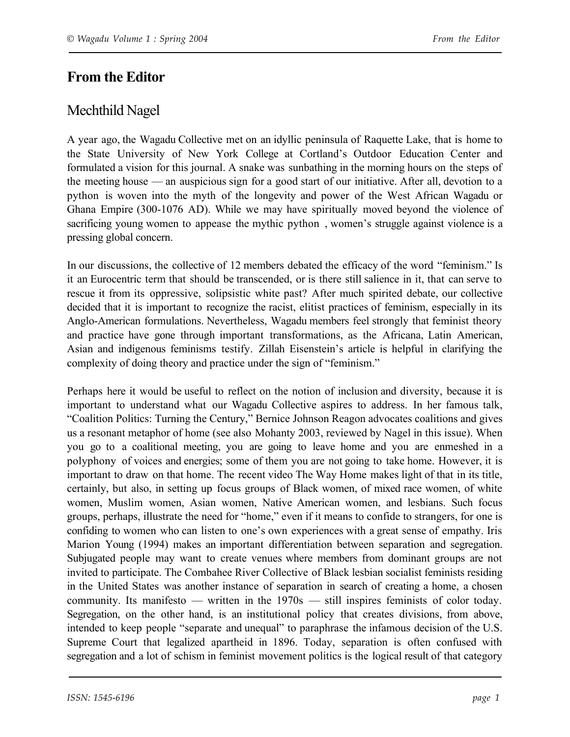## **From the Editor**

## Mechthild Nagel

A year ago, the Wagadu Collective met on an idyllic peninsula of Raquette Lake, that is home to the State University of New York College at Cortland's Outdoor Education Center and formulated a vision for this journal. A snake was sunbathing in the morning hours on the steps of the meeting house — an auspicious sign for a good start of our initiative. After all, devotion to a python is woven into the myth of the longevity and power of the West African Wagadu or Ghana Empire (300-1076 AD). While we may have spiritually moved beyond the violence of sacrificing young women to appease the mythic python , women's struggle against violence is a pressing global concern.

In our discussions, the collective of 12 members debated the efficacy of the word "feminism." Is it an Eurocentric term that should be transcended, or is there still salience in it, that can serve to rescue it from its oppressive, solipsistic white past? After much spirited debate, our collective decided that it is important to recognize the racist, elitist practices of feminism, especially in its Anglo-American formulations. Nevertheless, Wagadu members feel strongly that feminist theory and practice have gone through important transformations, as the Africana, Latin American, Asian and indigenous feminisms testify. Zillah Eisenstein's article is helpful in clarifying the complexity of doing theory and practice under the sign of "feminism."

Perhaps here it would be useful to reflect on the notion of inclusion and diversity, because it is important to understand what our Wagadu Collective aspires to address. In her famous talk, "Coalition Politics: Turning the Century," Bernice Johnson Reagon advocates coalitions and gives us a resonant metaphor of home (see also Mohanty 2003, reviewed by Nagel in this issue). When you go to a coalitional meeting, you are going to leave home and you are enmeshed in a polyphony of voices and energies; some of them you are not going to take home. However, it is important to draw on that home. The recent video The Way Home makes light of that in its title, certainly, but also, in setting up focus groups of Black women, of mixed race women, of white women, Muslim women, Asian women, Native American women, and lesbians. Such focus groups, perhaps, illustrate the need for "home," even if it means to confide to strangers, for one is confiding to women who can listen to one's own experiences with a great sense of empathy. Iris Marion Young (1994) makes an important differentiation between separation and segregation. Subjugated people may want to create venues where members from dominant groups are not invited to participate. The Combahee River Collective of Black lesbian socialist feminists residing in the United States was another instance of separation in search of creating a home, a chosen community. Its manifesto — written in the 1970s — still inspires feminists of color today. Segregation, on the other hand, is an institutional policy that creates divisions, from above, intended to keep people "separate and unequal" to paraphrase the infamous decision of the U.S. Supreme Court that legalized apartheid in 1896. Today, separation is often confused with segregation and a lot of schism in feminist movement politics is the logical result of that category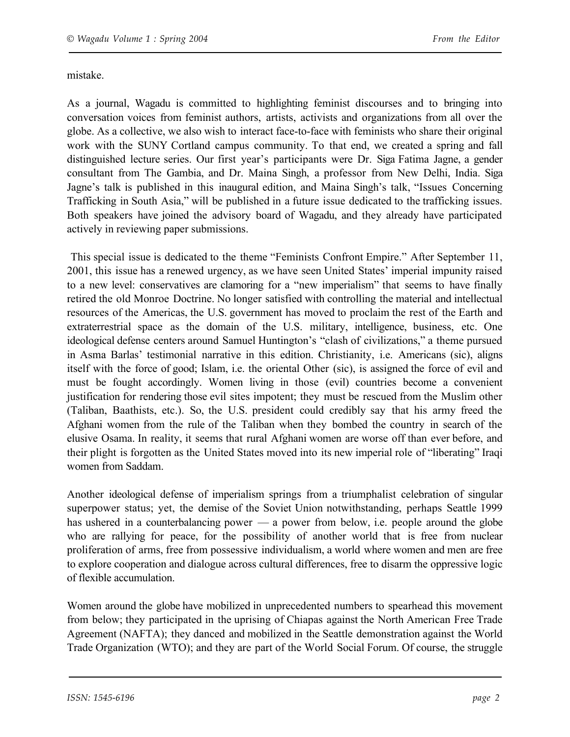mistake.

As a journal, Wagadu is committed to highlighting feminist discourses and to bringing into conversation voices from feminist authors, artists, activists and organizations from all over the globe. As a collective, we also wish to interact face-to-face with feminists who share their original work with the SUNY Cortland campus community. To that end, we created a spring and fall distinguished lecture series. Our first year's participants were Dr. Siga Fatima Jagne, a gender consultant from The Gambia, and Dr. Maina Singh, a professor from New Delhi, India. Siga Jagne's talk is published in this inaugural edition, and Maina Singh's talk, "Issues Concerning Trafficking in South Asia," will be published in a future issue dedicated to the trafficking issues. Both speakers have joined the advisory board of Wagadu, and they already have participated actively in reviewing paper submissions.

This special issue is dedicated to the theme "Feminists Confront Empire." After September 11, 2001, this issue has a renewed urgency, as we have seen United States' imperial impunity raised to a new level: conservatives are clamoring for a "new imperialism" that seems to have finally retired the old Monroe Doctrine. No longer satisfied with controlling the material and intellectual resources of the Americas, the U.S. government has moved to proclaim the rest of the Earth and extraterrestrial space as the domain of the U.S. military, intelligence, business, etc. One ideological defense centers around Samuel Huntington's "clash of civilizations," a theme pursued in Asma Barlas' testimonial narrative in this edition. Christianity, i.e. Americans (sic), aligns itself with the force of good; Islam, i.e. the oriental Other (sic), is assigned the force of evil and must be fought accordingly. Women living in those (evil) countries become a convenient justification for rendering those evil sites impotent; they must be rescued from the Muslim other (Taliban, Baathists, etc.). So, the U.S. president could credibly say that his army freed the Afghani women from the rule of the Taliban when they bombed the country in search of the elusive Osama. In reality, it seems that rural Afghani women are worse off than ever before, and their plight is forgotten as the United States moved into its new imperial role of "liberating" Iraqi women from Saddam.

Another ideological defense of imperialism springs from a triumphalist celebration of singular superpower status; yet, the demise of the Soviet Union notwithstanding, perhaps Seattle 1999 has ushered in a counterbalancing power  $\frac{1}{2}$  a power from below, i.e. people around the globe who are rallying for peace, for the possibility of another world that is free from nuclear proliferation of arms, free from possessive individualism, a world where women and men are free to explore cooperation and dialogue across cultural differences, free to disarm the oppressive logic of flexible accumulation.

Women around the globe have mobilized in unprecedented numbers to spearhead this movement from below; they participated in the uprising of Chiapas against the North American Free Trade Agreement (NAFTA); they danced and mobilized in the Seattle demonstration against the World Trade Organization (WTO); and they are part of the World Social Forum. Of course, the struggle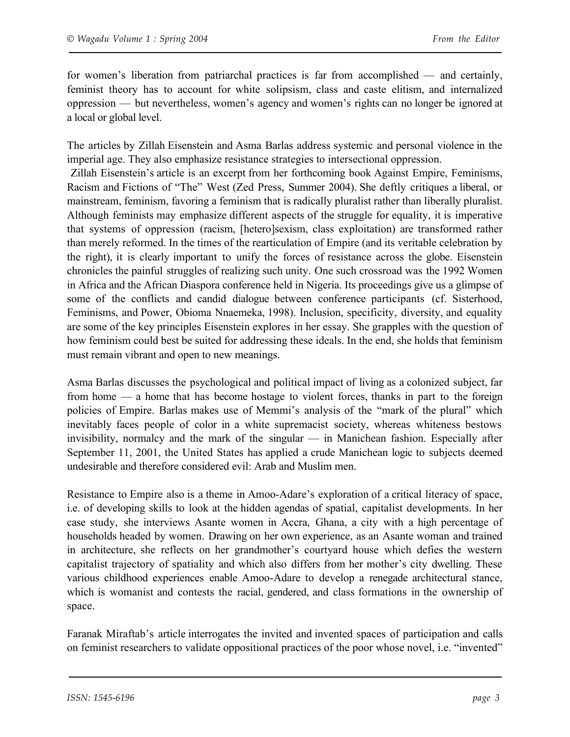for women's liberation from patriarchal practices is far from accomplished — and certainly, feminist theory has to account for white solipsism, class and caste elitism, and internalized oppression — but nevertheless, women's agency and women's rights can no longer be ignored at a local or global level.

The articles by Zillah Eisenstein and Asma Barlas address systemic and personal violence in the imperial age. They also emphasize resistance strategies to intersectional oppression.

Zillah Eisenstein's article is an excerpt from her forthcoming book Against Empire, Feminisms, Racism and Fictions of "The" West (Zed Press, Summer 2004). She deftly critiques a liberal, or mainstream, feminism, favoring a feminism that is radically pluralist rather than liberally pluralist. Although feminists may emphasize different aspects of the struggle for equality, it is imperative that systems of oppression (racism, [hetero]sexism, class exploitation) are transformed rather than merely reformed. In the times of the rearticulation of Empire (and its veritable celebration by the right), it is clearly important to unify the forces of resistance across the globe. Eisenstein chronicles the painful struggles of realizing such unity. One such crossroad was the 1992 Women in Africa and the African Diaspora conference held in Nigeria. Its proceedings give us a glimpse of some of the conflicts and candid dialogue between conference participants (cf. Sisterhood, Feminisms, and Power, Obioma Nnaemeka, 1998). Inclusion, specificity, diversity, and equality are some of the key principles Eisenstein explores in her essay. She grapples with the question of how feminism could best be suited for addressing these ideals. In the end, she holds that feminism must remain vibrant and open to new meanings.

Asma Barlas discusses the psychological and political impact of living as a colonized subject, far from home — a home that has become hostage to violent forces, thanks in part to the foreign policies of Empire. Barlas makes use of Memmi's analysis of the "mark of the plural" which inevitably faces people of color in a white supremacist society, whereas whiteness bestows invisibility, normalcy and the mark of the singular — in Manichean fashion. Especially after September 11, 2001, the United States has applied a crude Manichean logic to subjects deemed undesirable and therefore considered evil: Arab and Muslim men.

Resistance to Empire also is a theme in Amoo-Adare's exploration of a critical literacy of space, i.e. of developing skills to look at the hidden agendas of spatial, capitalist developments. In her case study, she interviews Asante women in Accra, Ghana, a city with a high percentage of households headed by women. Drawing on her own experience, as an Asante woman and trained in architecture, she reflects on her grandmother's courtyard house which defies the western capitalist trajectory of spatiality and which also differs from her mother's city dwelling. These various childhood experiences enable Amoo-Adare to develop a renegade architectural stance, which is womanist and contests the racial, gendered, and class formations in the ownership of space.

Faranak Miraftab's article interrogates the invited and invented spaces of participation and calls on feminist researchers to validate oppositional practices of the poor whose novel, i.e. "invented"